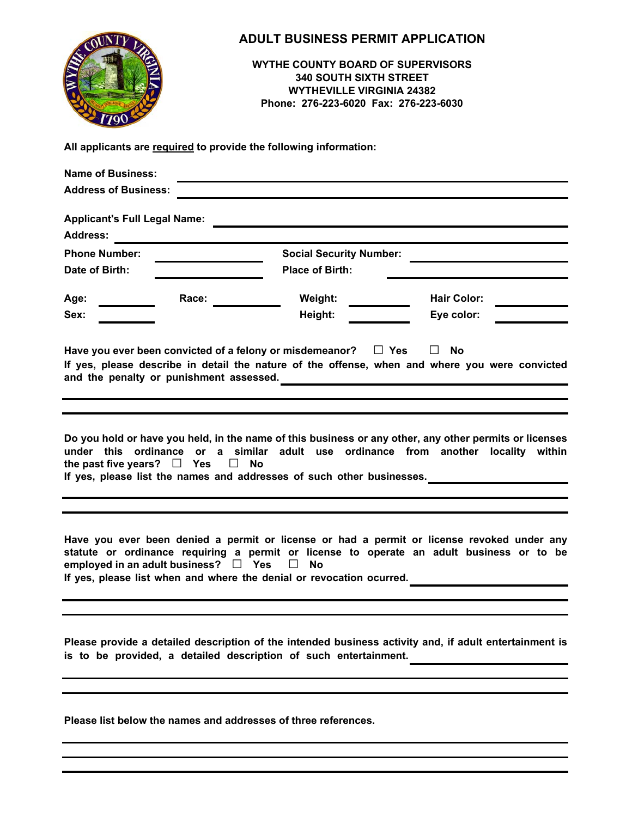| <b>Name of Business:</b><br><b>Address of Business:</b> |       | <b>ADULT BUSINESS PERMIT APPLICATION</b><br><b>WYTHE COUNTY BOARD OF SUPERVISORS</b><br><b>340 SOUTH SIXTH STREET</b><br><b>WYTHEVILLE VIRGINIA 24382</b><br>Phone: 276-223-6020 Fax: 276-223-6030<br>All applicants are required to provide the following information:<br><u> 1989 - Johann Barnett, fransk politiker (d. 1989)</u> |                                                                                                                                                                                                           |  |
|---------------------------------------------------------|-------|--------------------------------------------------------------------------------------------------------------------------------------------------------------------------------------------------------------------------------------------------------------------------------------------------------------------------------------|-----------------------------------------------------------------------------------------------------------------------------------------------------------------------------------------------------------|--|
| <b>Address:</b>                                         |       |                                                                                                                                                                                                                                                                                                                                      |                                                                                                                                                                                                           |  |
| <b>Phone Number:</b><br>Date of Birth:                  |       | <b>Social Security Number:</b><br><b>Place of Birth:</b>                                                                                                                                                                                                                                                                             | <u> 1980 - Johann Barn, mars an t-Amerikaansk ferskeizh (</u>                                                                                                                                             |  |
| Age:<br>Sex:                                            | Race: | Weight:<br>Height:                                                                                                                                                                                                                                                                                                                   | <b>Hair Color:</b><br>Eye color:                                                                                                                                                                          |  |
|                                                         |       | Have you ever been convicted of a felony or misdemeanor? $\square$ Yes                                                                                                                                                                                                                                                               | $\Box$ No<br>If yes, please describe in detail the nature of the offense, when and where you were convicted<br>and the penalty or punishment assessed.<br><u> and</u> the penalty or punishment assessed. |  |
| the past five years? $\Box$ Yes $\Box$ No               |       | If yes, please list the names and addresses of such other businesses.                                                                                                                                                                                                                                                                | Do you hold or have you held, in the name of this business or any other, any other permits or licenses<br>under this ordinance or a similar adult use ordinance from another locality within              |  |
| employed in an adult business? $\Box$ Yes $\Box$ No     |       | If yes, please list when and where the denial or revocation ocurred.                                                                                                                                                                                                                                                                 | Have you ever been denied a permit or license or had a permit or license revoked under any<br>statute or ordinance requiring a permit or license to operate an adult business or to be                    |  |
|                                                         |       | is to be provided, a detailed description of such entertainment.                                                                                                                                                                                                                                                                     | Please provide a detailed description of the intended business activity and, if adult entertainment is                                                                                                    |  |
|                                                         |       |                                                                                                                                                                                                                                                                                                                                      |                                                                                                                                                                                                           |  |

**Please list below the names and addresses of three references.**